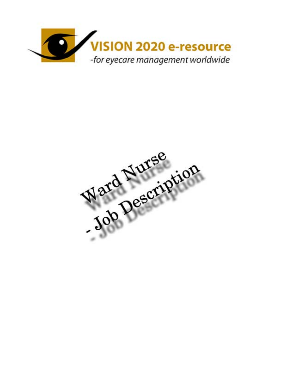

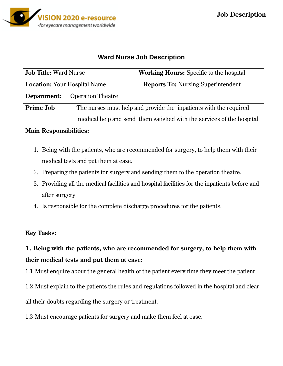

### **Ward Nurse Job Description**

| <b>Job Title: Ward Nurse</b>        |                                                                   | <b>Working Hours:</b> Specific to the hospital                         |
|-------------------------------------|-------------------------------------------------------------------|------------------------------------------------------------------------|
| <b>Location:</b> Your Hospital Name |                                                                   | <b>Reports To:</b> Nursing Superintendent                              |
| Department:                         | <b>Operation Theatre</b>                                          |                                                                        |
| <b>Prime Job</b>                    | The nurses must help and provide the inpatients with the required |                                                                        |
|                                     |                                                                   | medical help and send them satisfied with the services of the hospital |

### **Main Responsibilities:**

- 1. Being with the patients, who are recommended for surgery, to help them with their medical tests and put them at ease.
- 2. Preparing the patients for surgery and sending them to the operation theatre.
- 3. Providing all the medical facilities and hospital facilities for the inpatients before and after surgery
- 4. Is responsible for the complete discharge procedures for the patients.

### **Key Tasks:**

**1. Being with the patients, who are recommended for surgery, to help them with their medical tests and put them at ease:** 

1.1 Must enquire about the general health of the patient every time they meet the patient

1.2 Must explain to the patients the rules and regulations followed in the hospital and clear

all their doubts regarding the surgery or treatment.

1.3 Must encourage patients for surgery and make them feel at ease.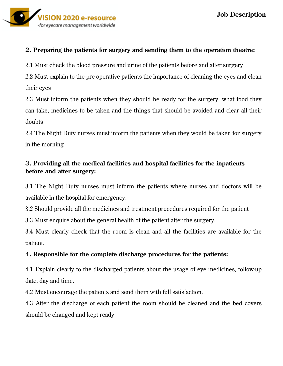

### **2. Preparing the patients for surgery and sending them to the operation theatre:**

2.1 Must check the blood pressure and urine of the patients before and after surgery

2.2 Must explain to the pre-operative patients the importance of cleaning the eyes and clean their eyes

2.3 Must inform the patients when they should be ready for the surgery, what food they can take, medicines to be taken and the things that should be avoided and clear all their doubts

2.4 The Night Duty nurses must inform the patients when they would be taken for surgery in the morning

# **3. Providing all the medical facilities and hospital facilities for the inpatients before and after surgery:**

3.1 The Night Duty nurses must inform the patients where nurses and doctors will be available in the hospital for emergency.

3.2 Should provide all the medicines and treatment procedures required for the patient

3.3 Must enquire about the general health of the patient after the surgery.

3.4 Must clearly check that the room is clean and all the facilities are available for the patient.

# **4. Responsible for the complete discharge procedures for the patients:**

4.1 Explain clearly to the discharged patients about the usage of eye medicines, follow-up date, day and time.

4.2 Must encourage the patients and send them with full satisfaction.

4.3 After the discharge of each patient the room should be cleaned and the bed covers should be changed and kept ready